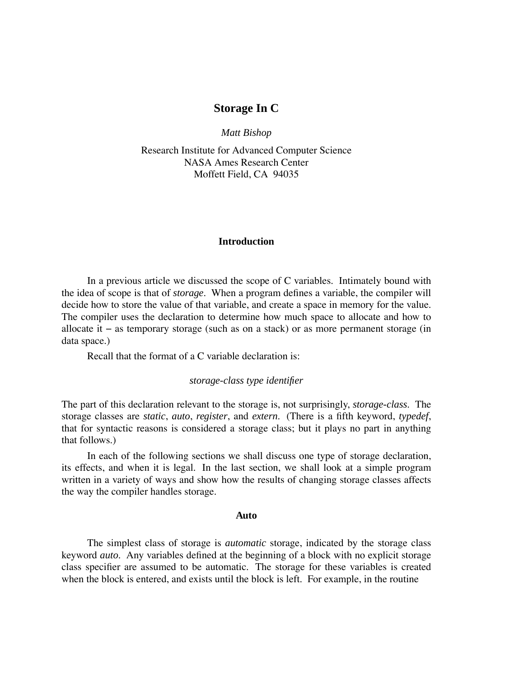# **Storage In C**

*Matt Bishop*

Research Institute for Advanced Computer Science NASA Ames Research Center Moffett Field, CA 94035

### **Introduction**

In a previous article we discussed the scope of C variables. Intimately bound with the idea of scope is that of *storage*. When a program defines a variable, the compiler will decide how to store the value of that variable, and create a space in memory for the value. The compiler uses the declaration to determine how much space to allocate and how to allocate it − as temporary storage (such as on a stack) or as more permanent storage (in data space.)

Recall that the format of a C variable declaration is:

## *storage-class type identifier*

The part of this declaration relevant to the storage is, not surprisingly, *storage-class*. The storage classes are *static*, *auto*, *register*, and *extern*. (There is a fifth keyword, *typedef*, that for syntactic reasons is considered a storage class; but it plays no part in anything that follows.)

In each of the following sections we shall discuss one type of storage declaration, its effects, and when it is legal. In the last section, we shall look at a simple program written in a variety of ways and show how the results of changing storage classes affects the way the compiler handles storage.

#### **Auto**

The simplest class of storage is *automatic* storage, indicated by the storage class keyword *auto*. Any variables defined at the beginning of a block with no explicit storage class specifier are assumed to be automatic. The storage for these variables is created when the block is entered, and exists until the block is left. For example, in the routine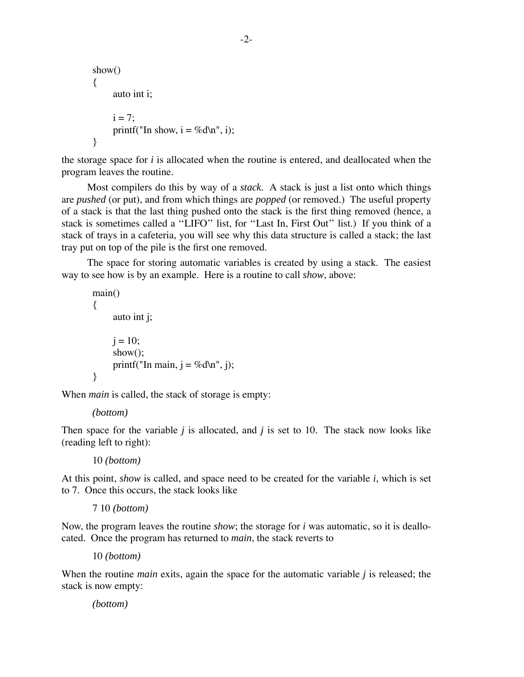```
show()
{
     auto int i;
     i = 7:
     printf("In show, i = \%d\ln", i);
}
```
the storage space for *i* is allocated when the routine is entered, and deallocated when the program leaves the routine.

Most compilers do this by way of a *stack*. A stack is just a list onto which things are *pushed* (or put), and from which things are *popped* (or removed.) The useful property of a stack is that the last thing pushed onto the stack is the first thing removed (hence, a stack is sometimes called a "LIFO" list, for "Last In, First Out" list.) If you think of a stack of trays in a cafeteria, you will see why this data structure is called a stack; the last tray put on top of the pile is the first one removed.

The space for storing automatic variables is created by using a stack. The easiest way to see how is by an example. Here is a routine to call *show*, above:

```
main()
{
      auto int j;
      j = 10;show();
      printf("In main, j = \%d\langle n, j \rangle;
}
```
When *main* is called, the stack of storage is empty:

```
(bottom)
```
Then space for the variable *j* is allocated, and *j* is set to 10. The stack now looks like (reading left to right):

10 *(bottom)*

At this point, *show* is called, and space need to be created for the variable *i*, which is set to 7. Once this occurs, the stack looks like

7 10 *(bottom)*

Now, the program leaves the routine *show*; the storage for *i* was automatic, so it is deallocated. Once the program has returned to *main*, the stack reverts to

10 *(bottom)*

When the routine *main* exits, again the space for the automatic variable *j* is released; the stack is now empty:

*(bottom)*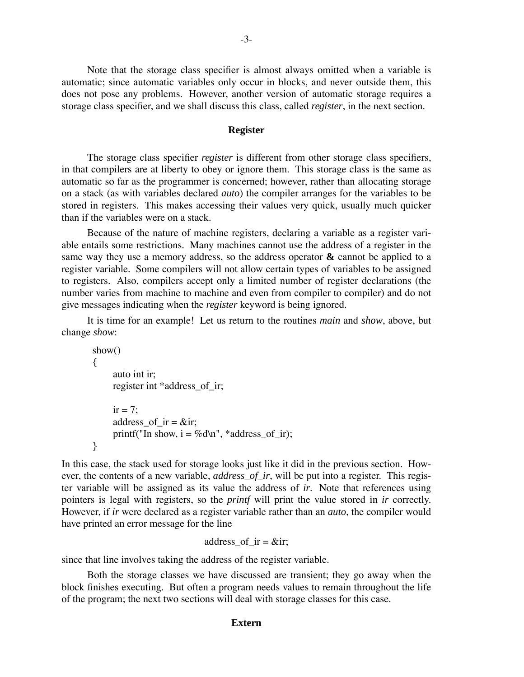Note that the storage class specifier is almost always omitted when a variable is automatic; since automatic variables only occur in blocks, and never outside them, this does not pose any problems. However, another version of automatic storage requires a storage class specifier, and we shall discuss this class, called *register*, in the next section.

#### **Register**

The storage class specifier *register* is different from other storage class specifiers, in that compilers are at liberty to obey or ignore them. This storage class is the same as automatic so far as the programmer is concerned; however, rather than allocating storage on a stack (as with variables declared *auto*) the compiler arranges for the variables to be stored in registers. This makes accessing their values very quick, usually much quicker than if the variables were on a stack.

Because of the nature of machine registers, declaring a variable as a register variable entails some restrictions. Many machines cannot use the address of a register in the same way they use a memory address, so the address operator **&** cannot be applied to a register variable. Some compilers will not allow certain types of variables to be assigned to registers. Also, compilers accept only a limited number of register declarations (the number varies from machine to machine and even from compiler to compiler) and do not give messages indicating when the *register* keyword is being ignored.

It is time for an example! Let us return to the routines *main* and *show*, above, but change *show*:

```
show()
{
     auto int ir;
     register int *address_of_ir;
     ir = 7:
     address of ir = &\circir;
     printf("In show, i = \%d\ln", *address_of_ir);
}
```
In this case, the stack used for storage looks just like it did in the previous section. However, the contents of a new variable, *address\_of\_ir*, will be put into a register. This register variable will be assigned as its value the address of *ir*. Note that references using pointers is legal with registers, so the *printf* will print the value stored in *ir* correctly. However, if *ir* were declared as a register variable rather than an *auto*, the compiler would have printed an error message for the line

```
address of ir = &dir;
```
since that line involves taking the address of the register variable.

Both the storage classes we have discussed are transient; they go away when the block finishes executing. But often a program needs values to remain throughout the life of the program; the next two sections will deal with storage classes for this case.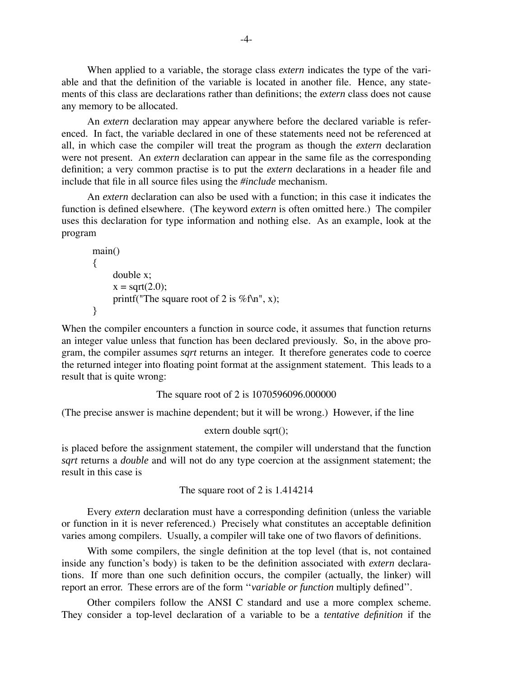When applied to a variable, the storage class *extern* indicates the type of the variable and that the definition of the variable is located in another file. Hence, any statements of this class are declarations rather than definitions; the *extern* class does not cause any memory to be allocated.

An *extern* declaration may appear anywhere before the declared variable is referenced. In fact, the variable declared in one of these statements need not be referenced at all, in which case the compiler will treat the program as though the *extern* declaration were not present. An *extern* declaration can appear in the same file as the corresponding definition; a very common practise is to put the *extern* declarations in a header file and include that file in all source files using the *#include* mechanism.

An *extern* declaration can also be used with a function; in this case it indicates the function is defined elsewhere. (The keyword *extern* is often omitted here.) The compiler uses this declaration for type information and nothing else. As an example, look at the program

```
main()
{
    double x;
     x = sqrt(2.0);printf("The square root of 2 is %f\n", x);
}
```
When the compiler encounters a function in source code, it assumes that function returns an integer value unless that function has been declared previously. So, in the above program, the compiler assumes *sqrt* returns an integer. It therefore generates code to coerce the returned integer into floating point format at the assignment statement. This leads to a result that is quite wrong:

```
The square root of 2 is 1070596096.000000
```
(The precise answer is machine dependent; but it will be wrong.) However, if the line

```
extern double sqrt();
```
is placed before the assignment statement, the compiler will understand that the function *sqrt* returns a *double* and will not do any type coercion at the assignment statement; the result in this case is

The square root of 2 is 1.414214

Every *extern* declaration must have a corresponding definition (unless the variable or function in it is never referenced.) Precisely what constitutes an acceptable definition varies among compilers. Usually, a compiler will take one of two flavors of definitions.

With some compilers, the single definition at the top level (that is, not contained inside any function's body) is taken to be the definition associated with *extern* declarations. If more than one such definition occurs, the compiler (actually, the linker) will report an error. These errors are of the form "variable or function multiply defined".

Other compilers follow the ANSI C standard and use a more complex scheme. They consider a top-level declaration of a variable to be a *tentative definition* if the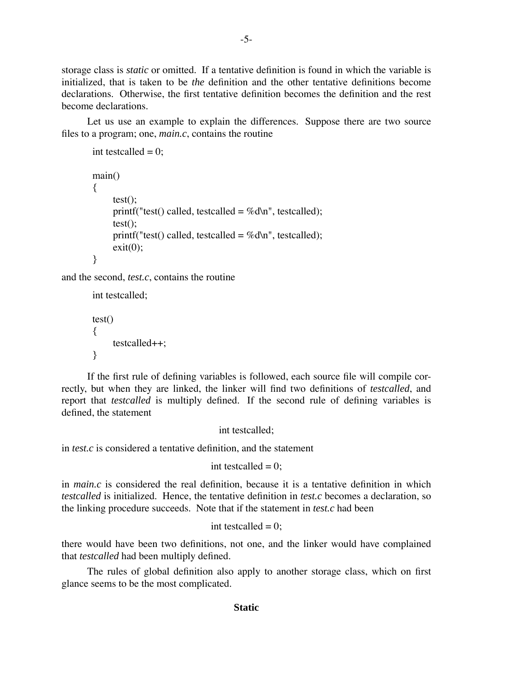storage class is *static* or omitted. If a tentative definition is found in which the variable is initialized, that is taken to be *the* definition and the other tentative definitions become declarations. Otherwise, the first tentative definition becomes the definition and the rest become declarations.

Let us use an example to explain the differences. Suppose there are two source files to a program; one, *main.c*, contains the routine

```
int testcalled = 0;
main()
{
     test();
     printf("test() called, testcalled = %d\n", testcalled);
     test();
     printf("test() called, testcalled = %d\n", testcalled);
     exit(0);}
```
and the second, *test.c*, contains the routine

int testcalled; test()

```
{
     testcalled++;
}
```
If the first rule of defining variables is followed, each source file will compile correctly, but when they are linked, the linker will find two definitions of *testcalled*, and report that *testcalled* is multiply defined. If the second rule of defining variables is defined, the statement

int testcalled;

in *test.c* is considered a tentative definition, and the statement

int testcalled  $= 0$ ;

in *main.c* is considered the real definition, because it is a tentative definition in which *testcalled* is initialized. Hence, the tentative definition in *test.c* becomes a declaration, so the linking procedure succeeds. Note that if the statement in *test.c* had been

```
int testcalled = 0;
```
there would have been two definitions, not one, and the linker would have complained that *testcalled* had been multiply defined.

The rules of global definition also apply to another storage class, which on first glance seems to be the most complicated.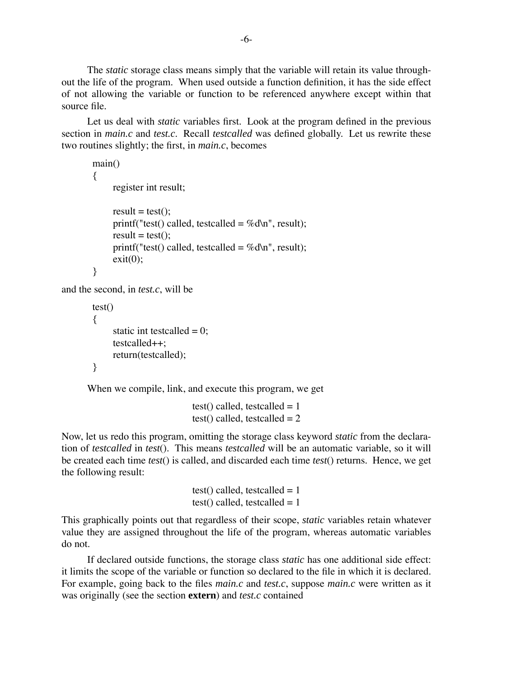The *static* storage class means simply that the variable will retain its value throughout the life of the program. When used outside a function definition, it has the side effect of not allowing the variable or function to be referenced anywhere except within that source file.

Let us deal with *static* variables first. Look at the program defined in the previous section in *main.c* and *test.c*. Recall *testcalled* was defined globally. Let us rewrite these two routines slightly; the first, in *main.c*, becomes

```
main()
        {
             register int result;
             result = test();
             printf("test() called, testcalled = %d\n", result);
             result = test();printf("test() called, testcalled = %d\n", result);
             exit(0);
        }
and the second, in test.c, will be
```

```
test()
{
     static int testcalled = 0;
     testcalled++;
     return(testcalled);
}
```
When we compile, link, and execute this program, we get

```
test() called, testcalled = 1test() called, testcalled = 2
```
Now, let us redo this program, omitting the storage class keyword *static* from the declaration of *testcalled* in *test*(). This means *testcalled* will be an automatic variable, so it will be created each time *test*() is called, and discarded each time *test*() returns. Hence, we get the following result:

```
test() called, testcalled = 1test() called, testcalled = 1
```
This graphically points out that regardless of their scope, *static* variables retain whatever value they are assigned throughout the life of the program, whereas automatic variables do not.

If declared outside functions, the storage class *static* has one additional side effect: it limits the scope of the variable or function so declared to the file in which it is declared. For example, going back to the files *main.c* and *test.c*, suppose *main.c* were written as it was originally (see the section **extern**) and *test.c* contained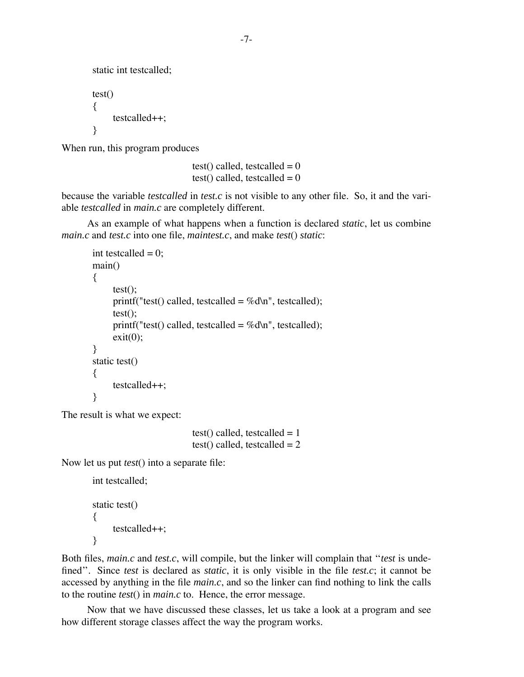```
static int testcalled;
test()
{
     testcalled++;
}
```
When run, this program produces

test() called, testcalled  $= 0$ test() called, testcalled  $= 0$ 

because the variable *testcalled* in *test.c* is not visible to any other file. So, it and the variable *testcalled* in *main.c* are completely different.

As an example of what happens when a function is declared *static*, let us combine *main.c* and *test.c* into one file, *maintest.c*, and make *test*() *static*:

```
int testcalled = 0;
main()
{
     test();
     printf("test() called, testcalled = %d\n", testcalled);
     test();
     printf("test() called, testcalled = %d\ln", testcalled);
     exit(0);}
static test()
{
     testcalled++;
}
```
The result is what we expect:

test() called, testcalled  $= 1$ test() called, testcalled  $= 2$ 

Now let us put *test*() into a separate file:

int testcalled;

```
static test()
{
     testcalled++;
}
```
Both files, *main.c* and *test.c*, will compile, but the linker will complain that "*test* is undefined". Since *test* is declared as *static*, it is only visible in the file *test.c*; it cannot be accessed by anything in the file *main.c*, and so the linker can find nothing to link the calls to the routine *test*() in *main.c* to. Hence, the error message.

Now that we have discussed these classes, let us take a look at a program and see how different storage classes affect the way the program works.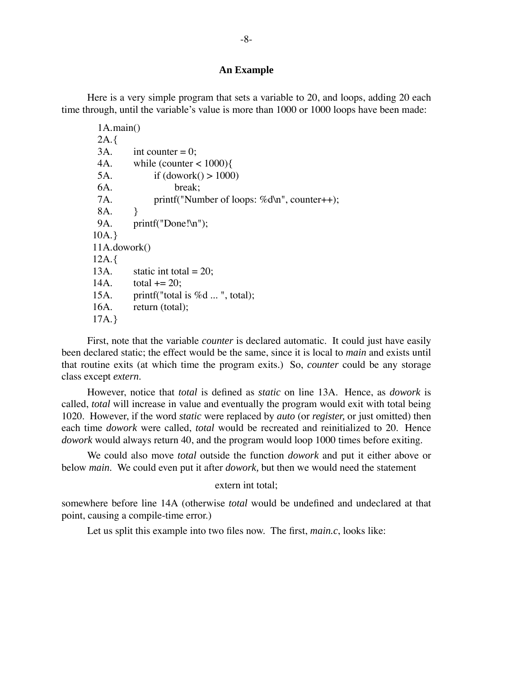# **An Example**

Here is a very simple program that sets a variable to 20, and loops, adding 20 each time through, until the variable's value is more than 1000 or 1000 loops have been made:

| 1A.mainloop() |                                                  |
|---------------|--------------------------------------------------|
| $2A.\{$       |                                                  |
| 3A.           | int counter $= 0$ ;                              |
| 4A.           | while (counter $<$ 1000) $\{$                    |
| 5A.           | if $(dowork() > 1000)$                           |
| 6A.           | break:                                           |
| 7A.           | printf("Number of loops: $\%d\ln$ ", counter++); |
| 8A.           | <sup>}</sup>                                     |
| 9A.           | $print(f("Done!\n'');$                           |
| 10A.          |                                                  |
| 11A.dowork()  |                                                  |
| 12A.          |                                                  |
| 13A.          | static int total = $20$ ;                        |
| 14A.          | total $+= 20$ ;                                  |
| 15A.          | printf("total is $\%d$ ", total);                |
| 16A.          | return (total);                                  |
| 17A.          |                                                  |

First, note that the variable *counter* is declared automatic. It could just have easily been declared static; the effect would be the same, since it is local to *main* and exists until that routine exits (at which time the program exits.) So, *counter* could be any storage class except *extern*.

However, notice that *total* is defined as *static* on line 13A. Hence, as *dowork* is called, *total* will increase in value and eventually the program would exit with total being 1020. However, if the word *static* were replaced by *auto* (or *register,* or just omitted) then each time *dowork* were called, *total* would be recreated and reinitialized to 20. Hence *dowork* would always return 40, and the program would loop 1000 times before exiting.

We could also move *total* outside the function *dowork* and put it either above or below *main*. We could even put it after *dowork,* but then we would need the statement

#### extern int total;

somewhere before line 14A (otherwise *total* would be undefined and undeclared at that point, causing a compile-time error.)

Let us split this example into two files now. The first, *main.c*, looks like: